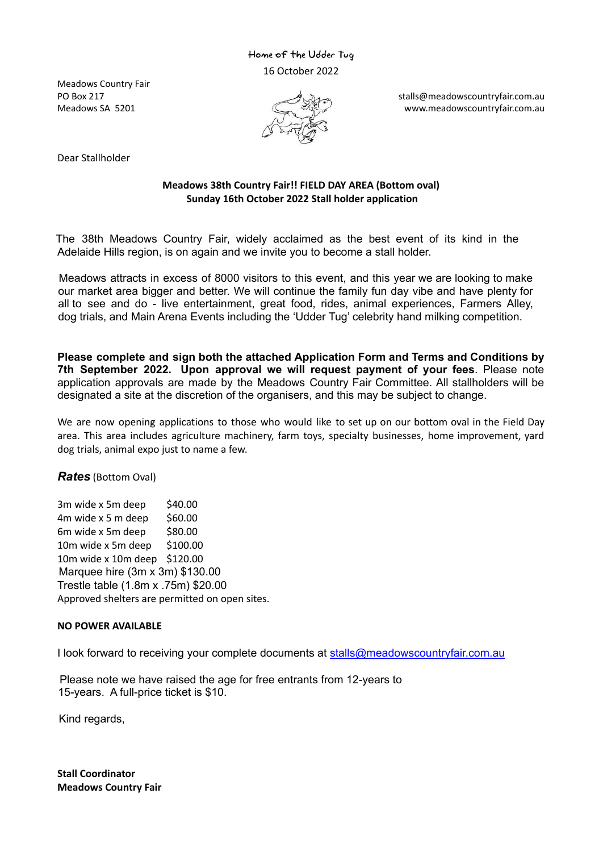### Home of the Udder Tug 16 October 2022

Meadows Country Fair



PO Box 217 stalls@meadowscountryfair.com.au stalls@meadowscountryfair.com.au Meadows SA 5201 **WebSite State of the COLL** CONSIDERATION www.meadowscountryfair.com.au

Dear Stallholder

#### **Meadows 38th Country Fair!! FIELD DAY AREA (Bottom oval) Sunday 16th October 2022 Stall holder application**

The 38th Meadows Country Fair, widely acclaimed as the best event of its kind in the Adelaide Hills region, is on again and we invite you to become a stall holder.

Meadows attracts in excess of 8000 visitors to this event, and this year we are looking to make our market area bigger and better. We will continue the family fun day vibe and have plenty for all to see and do - live entertainment, great food, rides, animal experiences, Farmers Alley, dog trials, and Main Arena Events including the 'Udder Tug' celebrity hand milking competition.

**Please complete and sign both the attached Application Form and Terms and Conditions by 7th September 2022. Upon approval we will request payment of your fees**. Please note application approvals are made by the Meadows Country Fair Committee. All stallholders will be designated a site at the discretion of the organisers, and this may be subject to change.

We are now opening applications to those who would like to set up on our bottom oval in the Field Day area. This area includes agriculture machinery, farm toys, specialty businesses, home improvement, yard dog trials, animal expo just to name a few.

*Rates* (Bottom Oval)

 $3m$  wide x 5 $m$  deep \$40.00  $4m$  wide x 5 m deep \$60.00 6m wide x 5m deep \$80.00 10m wide x 5m deep \$100.00 10m wide x 10m deep \$120.00 Marquee hire (3m x 3m) \$130.00 Trestle table (1.8m x .75m) \$20.00 Approved shelters are permitted on open sites.

#### **NO POWER AVAILABLE**

I look forward to receiving your complete documents at stalls@meadowscountryfair.com.au

Please note we have raised the age for free entrants from 12-years to 15-years. A full-price ticket is \$10.

Kind regards,

**Stall Coordinator Meadows Country Fair**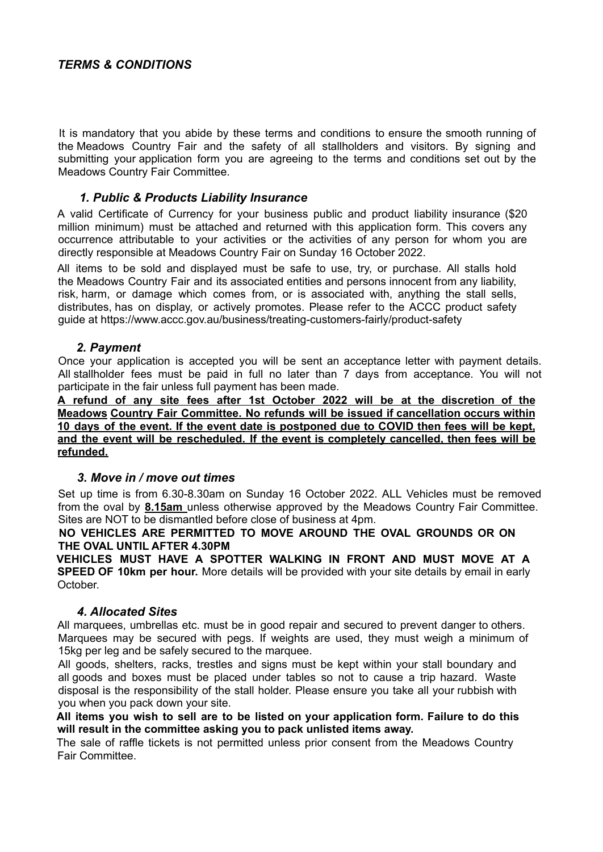## *TERMS & CONDITIONS*

It is mandatory that you abide by these terms and conditions to ensure the smooth running of the Meadows Country Fair and the safety of all stallholders and visitors. By signing and submitting your application form you are agreeing to the terms and conditions set out by the Meadows Country Fair Committee.

### *1. Public & Products Liability Insurance*

A valid Certificate of Currency for your business public and product liability insurance (\$20 million minimum) must be attached and returned with this application form. This covers any occurrence attributable to your activities or the activities of any person for whom you are directly responsible at Meadows Country Fair on Sunday 16 October 2022.

All items to be sold and displayed must be safe to use, try, or purchase. All stalls hold the Meadows Country Fair and its associated entities and persons innocent from any liability, risk, harm, or damage which comes from, or is associated with, anything the stall sells, distributes, has on display, or actively promotes. Please refer to the ACCC product safety guide at https://www.accc.gov.au/business/treating-customers-fairly/product-safety

### *2. Payment*

Once your application is accepted you will be sent an acceptance letter with payment details. All stallholder fees must be paid in full no later than 7 days from acceptance. You will not participate in the fair unless full payment has been made.

**A refund of any site fees after 1st October 2022 will be at the discretion of the Meadows Country Fair Committee. No refunds will be issued if cancellation occurs within 10 days of the event. If the event date is postponed due to COVID then fees will be kept, and the event will be rescheduled. If the event is completely cancelled, then fees will be refunded.**

### *3. Move in / move out times*

Set up time is from 6.30-8.30am on Sunday 16 October 2022. ALL Vehicles must be removed from the oval by **8.15am** unless otherwise approved by the Meadows Country Fair Committee. Sites are NOT to be dismantled before close of business at 4pm.

#### **NO VEHICLES ARE PERMITTED TO MOVE AROUND THE OVAL GROUNDS OR ON THE OVAL UNTIL AFTER 4.30PM**

**VEHICLES MUST HAVE A SPOTTER WALKING IN FRONT AND MUST MOVE AT A SPEED OF 10km per hour.** More details will be provided with your site details by email in early **October** 

#### *4. Allocated Sites*

All marquees, umbrellas etc. must be in good repair and secured to prevent danger to others. Marquees may be secured with pegs. If weights are used, they must weigh a minimum of 15kg per leg and be safely secured to the marquee.

All goods, shelters, racks, trestles and signs must be kept within your stall boundary and all goods and boxes must be placed under tables so not to cause a trip hazard. Waste disposal is the responsibility of the stall holder. Please ensure you take all your rubbish with you when you pack down your site.

**All items you wish to sell are to be listed on your application form. Failure to do this will result in the committee asking you to pack unlisted items away.**

The sale of raffle tickets is not permitted unless prior consent from the Meadows Country Fair Committee.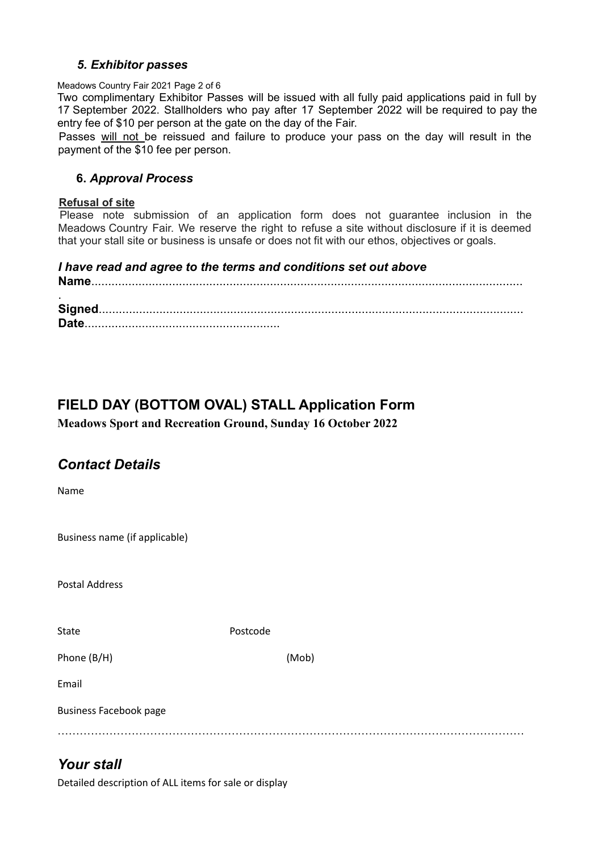### *5. Exhibitor passes*

#### Meadows Country Fair 2021 Page 2 of 6

Two complimentary Exhibitor Passes will be issued with all fully paid applications paid in full by 17 September 2022. Stallholders who pay after 17 September 2022 will be required to pay the entry fee of \$10 per person at the gate on the day of the Fair.

Passes will not be reissued and failure to produce your pass on the day will result in the payment of the \$10 fee per person.

### **6.** *Approval Process*

#### **Refusal of site**

Please note submission of an application form does not guarantee inclusion in the Meadows Country Fair. We reserve the right to refuse a site without disclosure if it is deemed that your stall site or business is unsafe or does not fit with our ethos, objectives or goals.

### *I have read and agree to the terms and conditions set out above*

**Name**................................................................................................................................ .

**Signed**.............................................................................................................................. **Date**..........................................................

# **FIELD DAY (BOTTOM OVAL) STALL Application Form**

**Meadows Sport and Recreation Ground, Sunday 16 October 2022**

## *Contact Details*

Name

Business name (if applicable)

Postal Address

State Postcode

Phone (B/H) (Mob)

Email

Business Facebook page

………………………………………………………………………………………………………………

# *Your stall*

Detailed description of ALL items for sale or display